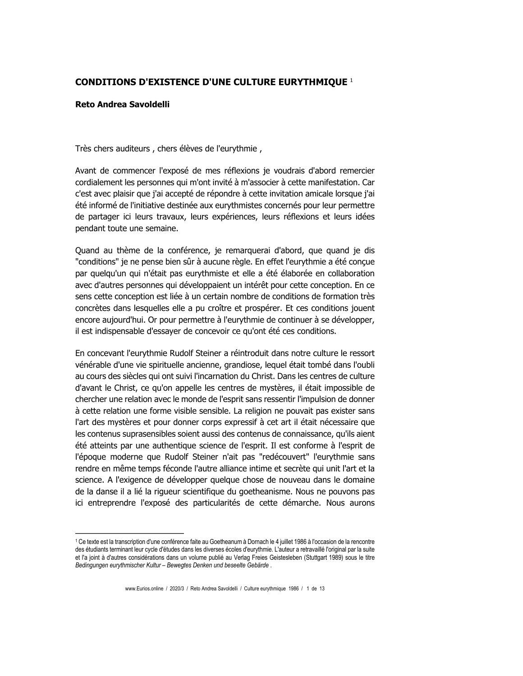## **CONDITIONS D'EXISTENCE D'UNE CULTURE EURYTHMIQUE 1**

## **Reto Andrea Savoldelli**

Très chers auditeurs, chers élèves de l'eurythmie,

Avant de commencer l'exposé de mes réflexions je voudrais d'abord remercier cordialement les personnes qui m'ont invité à m'associer à cette manifestation. Car c'est avec plaisir que j'ai accepté de répondre à cette invitation amicale lorsque j'ai été informé de l'initiative destinée aux eurythmistes concernés pour leur permettre de partager ici leurs travaux, leurs expériences, leurs réflexions et leurs idées pendant toute une semaine.

Quand au thème de la conférence, je remarquerai d'abord, que quand je dis "conditions" je ne pense bien sûr à aucune règle. En effet l'eurythmie a été conçue par quelqu'un qui n'était pas eurythmiste et elle a été élaborée en collaboration avec d'autres personnes qui développaient un intérêt pour cette conception. En ce sens cette conception est liée à un certain nombre de conditions de formation très concrètes dans lesquelles elle a pu croître et prospérer. Et ces conditions jouent encore aujourd'hui. Or pour permettre à l'eurythmie de continuer à se développer, il est indispensable d'essayer de concevoir ce qu'ont été ces conditions.

En concevant l'eurythmie Rudolf Steiner a réintroduit dans notre culture le ressort vénérable d'une vie spirituelle ancienne, grandiose, lequel était tombé dans l'oubli au cours des siècles qui ont suivi l'incarnation du Christ. Dans les centres de culture d'avant le Christ, ce qu'on appelle les centres de mystères, il était impossible de chercher une relation avec le monde de l'esprit sans ressentir l'impulsion de donner à cette relation une forme visible sensible. La religion ne pouvait pas exister sans l'art des mystères et pour donner corps expressif à cet art il était nécessaire que les contenus suprasensibles soient aussi des contenus de connaissance, qu'ils aient été atteints par une authentique science de l'esprit. Il est conforme à l'esprit de l'époque moderne que Rudolf Steiner n'ait pas "redécouvert" l'eurythmie sans rendre en même temps féconde l'autre alliance intime et secrète qui unit l'art et la science. A l'exigence de développer quelque chose de nouveau dans le domaine de la danse il a lié la rigueur scientifique du goetheanisme. Nous ne pouvons pas ici entreprendre l'exposé des particularités de cette démarche. Nous aurons

<sup>1</sup> Ce texte est la transcription d'une conférence faite au Goetheanum à Dornach le 4 juillet 1986 à l'occasion de la rencontre des étudiants terminant leur cycle d'études dans les diverses écoles d'eurythmie. L'auteur a retravaillé l'original par la suite et l'a joint à d'autres considérations dans un volume publié au Verlag Freies Geistesleben (Stuttgart 1989) sous le titre Bedingungen eurythmischer Kultur - Bewegtes Denken und beseelte Gebärde.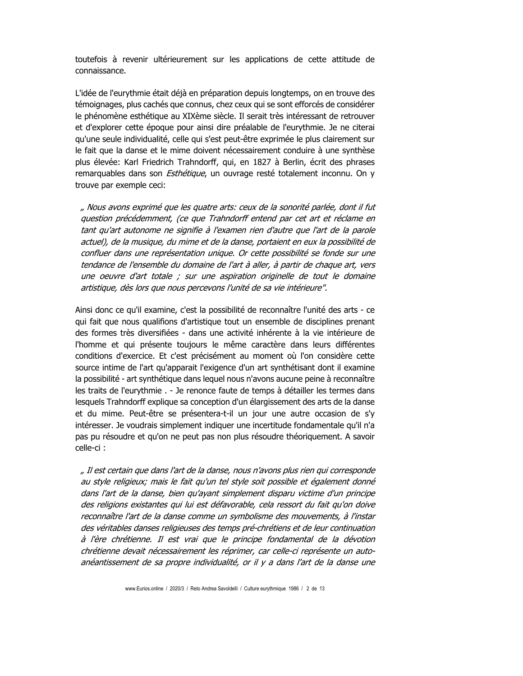toutefois à revenir ultérieurement sur les applications de cette attitude de connaissance.

L'idée de l'eurythmie était déjà en préparation depuis longtemps, on en trouve des témoignages, plus cachés que connus, chez ceux qui se sont efforcés de considérer le phénomène esthétique au XIXème siècle. Il serait très intéressant de retrouver et d'explorer cette époque pour ainsi dire préalable de l'eurythmie. Je ne citerai qu'une seule individualité, celle qui s'est peut-être exprimée le plus clairement sur le fait que la danse et le mime doivent nécessairement conduire à une synthèse plus élevée: Karl Friedrich Trahndorff, qui, en 1827 à Berlin, écrit des phrases remarquables dans son Esthétique, un ouvrage resté totalement inconnu. On y trouve par exemple ceci:

"Nous avons exprimé que les quatre arts: ceux de la sonorité parlée, dont il fut question précédemment, (ce que Trahndorff entend par cet art et réclame en tant qu'art autonome ne signifie à l'examen rien d'autre que l'art de la parole actuel), de la musique, du mime et de la danse, portaient en eux la possibilité de confluer dans une représentation unique. Or cette possibilité se fonde sur une tendance de l'ensemble du domaine de l'art à aller, à partir de chaque art, vers une oeuvre d'art totale ; sur une aspiration originelle de tout le domaine artistique, dès lors que nous percevons l'unité de sa vie intérieure".

Ainsi donc ce qu'il examine, c'est la possibilité de reconnaître l'unité des arts - ce qui fait que nous qualifions d'artistique tout un ensemble de disciplines prenant des formes très diversifiées - dans une activité inhérente à la vie intérieure de l'homme et qui présente toujours le même caractère dans leurs différentes conditions d'exercice. Et c'est précisément au moment où l'on considère cette source intime de l'art qu'apparait l'exigence d'un art synthétisant dont il examine la possibilité - art synthétique dans lequel nous n'avons aucune peine à reconnaître les traits de l'eurythmie . - Je renonce faute de temps à détailler les termes dans lesquels Trahndorff explique sa conception d'un élargissement des arts de la danse et du mime. Peut-être se présentera-t-il un jour une autre occasion de s'y intéresser. Je voudrais simplement indiquer une incertitude fondamentale qu'il n'a pas pu résoudre et qu'on ne peut pas non plus résoudre théoriquement. A savoir celle-ci :

"Il est certain que dans l'art de la danse, nous n'avons plus rien qui corresponde au style religieux; mais le fait qu'un tel style soit possible et également donné dans l'art de la danse, bien qu'ayant simplement disparu victime d'un principe des religions existantes qui lui est défavorable, cela ressort du fait qu'on doive reconnaître l'art de la danse comme un symbolisme des mouvements, à l'instar des véritables danses religieuses des temps pré-chrétiens et de leur continuation à l'ère chrétienne. Il est vrai que le principe fondamental de la dévotion chrétienne devait nécessairement les réprimer, car celle-ci représente un autoanéantissement de sa propre individualité, or il y a dans l'art de la danse une

www.Eurios.online / 2020/3 / Reto Andrea Savoldelli / Culture eurythmique 1986 / 2 de 13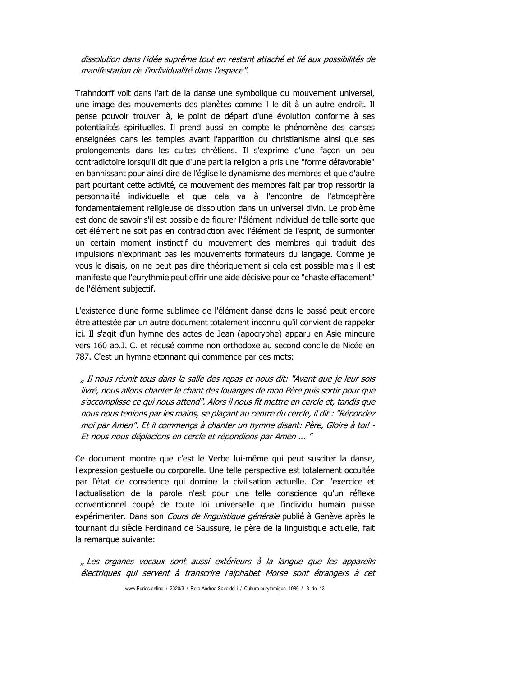dissolution dans l'idée suprême tout en restant attaché et lié aux possibilités de manifestation de l'individualité dans l'espace".

Trahndorff voit dans l'art de la danse une symbolique du mouvement universel, une image des mouvements des planètes comme il le dit à un autre endroit. Il pense pouvoir trouver là, le point de départ d'une évolution conforme à ses potentialités spirituelles. Il prend aussi en compte le phénomène des danses enseignées dans les temples avant l'apparition du christianisme ainsi que ses prolongements dans les cultes chrétiens. Il s'exprime d'une façon un peu contradictoire lorsqu'il dit que d'une part la religion a pris une "forme défavorable" en bannissant pour ainsi dire de l'église le dynamisme des membres et que d'autre part pourtant cette activité, ce mouvement des membres fait par trop ressortir la personnalité individuelle et que cela va à l'encontre de l'atmosphère fondamentalement religieuse de dissolution dans un universel divin. Le problème est donc de savoir s'il est possible de figurer l'élément individuel de telle sorte que cet élément ne soit pas en contradiction avec l'élément de l'esprit, de surmonter un certain moment instinctif du mouvement des membres qui traduit des impulsions n'exprimant pas les mouvements formateurs du langage. Comme je vous le disais, on ne peut pas dire théoriquement si cela est possible mais il est manifeste que l'eurythmie peut offrir une aide décisive pour ce "chaste effacement" de l'élément subjectif.

L'existence d'une forme sublimée de l'élément dansé dans le passé peut encore être attestée par un autre document totalement inconnu qu'il convient de rappeler ici. Il s'agit d'un hymne des actes de Jean (apocryphe) apparu en Asie mineure vers 160 ap.J. C. et récusé comme non orthodoxe au second concile de Nicée en 787. C'est un hymne étonnant qui commence par ces mots:

" Il nous réunit tous dans la salle des repas et nous dit: "Avant que je leur sois livré, nous allons chanter le chant des louanges de mon Père puis sortir pour que s'accomplisse ce qui nous attend". Alors il nous fit mettre en cercle et, tandis que nous nous tenions par les mains, se plaçant au centre du cercle, il dit : "Répondez moi par Amen". Et il commença à chanter un hymne disant: Père, Gloire à toi! -Et nous nous déplacions en cercle et répondions par Amen ... "

Ce document montre que c'est le Verbe lui-même qui peut susciter la danse, l'expression gestuelle ou corporelle. Une telle perspective est totalement occultée par l'état de conscience qui domine la civilisation actuelle. Car l'exercice et l'actualisation de la parole n'est pour une telle conscience qu'un réflexe conventionnel coupé de toute loi universelle que l'individu humain puisse expérimenter. Dans son Cours de linguistique générale publié à Genève après le tournant du siècle Ferdinand de Saussure, le père de la linguistique actuelle, fait la remarque suivante:

" Les organes vocaux sont aussi extérieurs à la langue que les appareils électriques qui servent à transcrire l'alphabet Morse sont étrangers à cet

www.Eurios.online / 2020/3 / Reto Andrea Savoldelli / Culture eurythmique 1986 / 3 de 13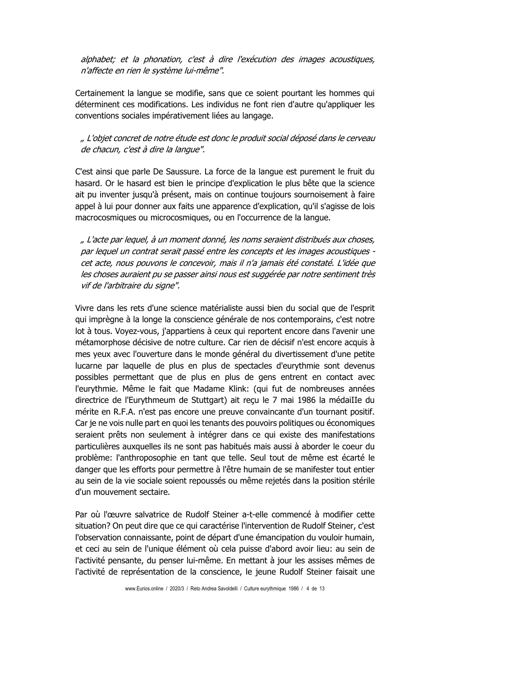alphabet; et la phonation, c'est à dire l'exécution des images acoustiques, n'affecte en rien le système lui-même".

Certainement la langue se modifie, sans que ce soient pourtant les hommes qui déterminent ces modifications. Les individus ne font rien d'autre qu'appliquer les conventions sociales impérativement liées au langage.

## " L'objet concret de notre étude est donc le produit social déposé dans le cerveau de chacun, c'est à dire la langue".

C'est ainsi que parle De Saussure. La force de la langue est purement le fruit du hasard. Or le hasard est bien le principe d'explication le plus bête que la science ait pu inventer jusqu'à présent, mais on continue toujours sournoisement à faire appel à lui pour donner aux faits une apparence d'explication, qu'il s'agisse de lois macrocosmiques ou microcosmiques, ou en l'occurrence de la langue.

" L'acte par lequel, à un moment donné, les noms seraient distribués aux choses, par lequel un contrat serait passé entre les concepts et les images acoustiques cet acte, nous pouvons le concevoir, mais il n'a jamais été constaté. L'idée que les choses auraient pu se passer ainsi nous est suggérée par notre sentiment très vif de l'arbitraire du signe".

Vivre dans les rets d'une science matérialiste aussi bien du social que de l'esprit qui imprègne à la longe la conscience générale de nos contemporains, c'est notre lot à tous. Voyez-vous, j'appartiens à ceux qui reportent encore dans l'avenir une métamorphose décisive de notre culture. Car rien de décisif n'est encore acquis à mes yeux avec l'ouverture dans le monde général du divertissement d'une petite lucarne par laquelle de plus en plus de spectacles d'eurythmie sont devenus possibles permettant que de plus en plus de gens entrent en contact avec l'eurythmie. Même le fait que Madame Klink: (qui fut de nombreuses années directrice de l'Eurythmeum de Stuttgart) ait reçu le 7 mai 1986 la médaiIIe du mérite en R.F.A. n'est pas encore une preuve convaincante d'un tournant positif. Car je ne vois nulle part en quoi les tenants des pouvoirs politiques ou économiques seraient prêts non seulement à intégrer dans ce qui existe des manifestations particulières auxquelles ils ne sont pas habitués mais aussi à aborder le coeur du problème: l'anthroposophie en tant que telle. Seul tout de même est écarté le danger que les efforts pour permettre à l'être humain de se manifester tout entier au sein de la vie sociale soient repoussés ou même rejetés dans la position stérile d'un mouvement sectaire.

Par où l'œuvre salvatrice de Rudolf Steiner a-t-elle commencé à modifier cette situation? On peut dire que ce qui caractérise l'intervention de Rudolf Steiner, c'est l'observation connaissante, point de départ d'une émancipation du vouloir humain, et ceci au sein de l'unique élément où cela puisse d'abord avoir lieu: au sein de l'activité pensante, du penser lui-même. En mettant à jour les assises mêmes de l'activité de représentation de la conscience, le jeune Rudolf Steiner faisait une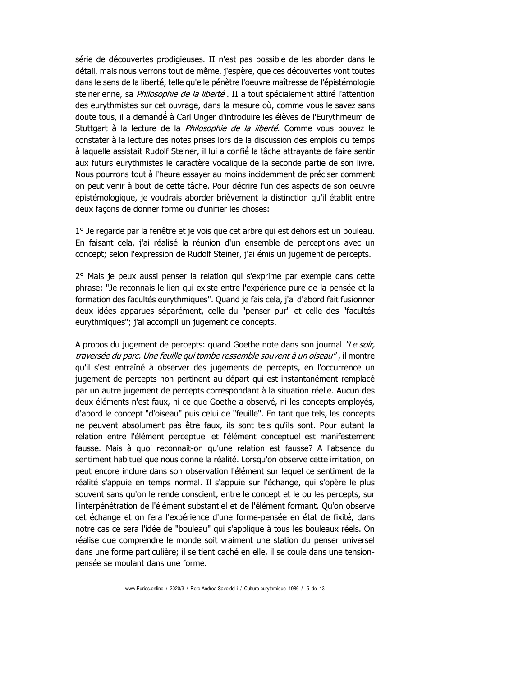série de découvertes prodigieuses. II n'est pas possible de les aborder dans le détail, mais nous verrons tout de même, j'espère, que ces découvertes vont toutes dans le sens de la liberté, telle qu'elle pénètre l'oeuvre maîtresse de l'épistémologie steinerienne, sa Philosophie de la liberté. II a tout spécialement attiré l'attention des eurythmistes sur cet ouvrage, dans la mesure où, comme vous le savez sans doute tous, il a demandé à Carl Unger d'introduire les élèves de l'Eurythmeum de Stuttgart à la lecture de la *Philosophie de la liberté*. Comme vous pouvez le constater à la lecture des notes prises lors de la discussion des emplois du temps à laquelle assistait Rudolf Steiner, il lui a confié la tâche attrayante de faire sentir aux futurs eurythmistes le caractère vocalique de la seconde partie de son livre. Nous pourrons tout à l'heure essayer au moins incidemment de préciser comment on peut venir à bout de cette tâche. Pour décrire l'un des aspects de son oeuvre épistémologique, je voudrais aborder brièvement la distinction qu'il établit entre deux façons de donner forme ou d'unifier les choses:

 $1^{\circ}$  Je regarde par la fenêtre et je vois que cet arbre qui est dehors est un bouleau. En faisant cela, j'ai réalisé la réunion d'un ensemble de perceptions avec un concept; selon l'expression de Rudolf Steiner, j'ai émis un jugement de percepts.

2º Mais je peux aussi penser la relation qui s'exprime par exemple dans cette phrase: "Je reconnais le lien qui existe entre l'expérience pure de la pensée et la formation des facultés eurythmiques". Quand je fais cela, j'ai d'abord fait fusionner deux idées apparues séparément, celle du "penser pur" et celle des "facultés eurythmiques"; j'ai accompli un jugement de concepts.

A propos du jugement de percepts: quand Goethe note dans son journal "Le soir, traversée du parc. Une feuille qui tombe ressemble souvent à un oiseau", il montre qu'il s'est entraîné à observer des jugements de percepts, en l'occurrence un jugement de percepts non pertinent au départ qui est instantanément remplacé par un autre jugement de percepts correspondant à la situation réelle. Aucun des deux éléments n'est faux, ni ce que Goethe a observé, ni les concepts employés, d'abord le concept "d'oiseau" puis celui de "feuille". En tant que tels, les concepts ne peuvent absolument pas être faux, ils sont tels qu'ils sont. Pour autant la relation entre l'élément perceptuel et l'élément conceptuel est manifestement fausse. Mais à quoi reconnait-on qu'une relation est fausse? A l'absence du sentiment habituel que nous donne la réalité. Lorsqu'on observe cette irritation, on peut encore inclure dans son observation l'élément sur lequel ce sentiment de la réalité s'appuie en temps normal. Il s'appuie sur l'échange, qui s'opère le plus souvent sans qu'on le rende conscient, entre le concept et le ou les percepts, sur l'interpénétration de l'élément substantiel et de l'élément formant. Qu'on observe cet échange et on fera l'expérience d'une forme-pensée en état de fixité, dans notre cas ce sera l'idée de "bouleau" qui s'applique à tous les bouleaux réels. On réalise que comprendre le monde soit vraiment une station du penser universel dans une forme particulière; il se tient caché en elle, il se coule dans une tensionpensée se moulant dans une forme.

www.Eurios.online / 2020/3 / Reto Andrea Savoldelli / Culture eurythmique 1986 / 5 de 13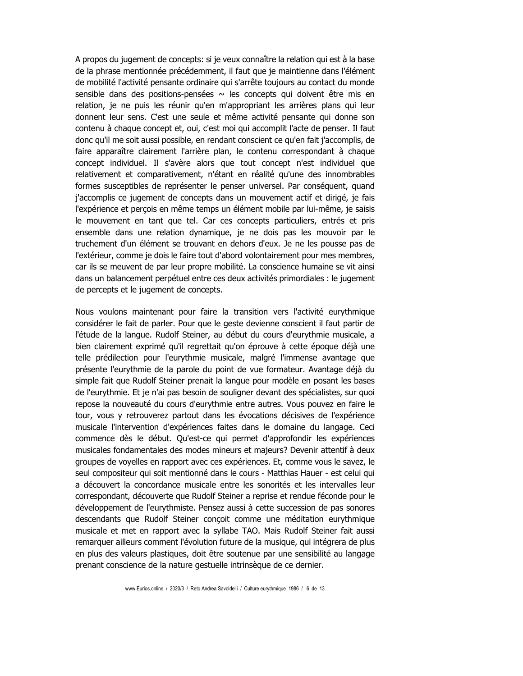A propos du jugement de concepts: si je veux connaître la relation qui est à la base de la phrase mentionnée précédemment, il faut que je maintienne dans l'élément de mobilité l'activité pensante ordinaire qui s'arrête toujours au contact du monde sensible dans des positions-pensées ~ les concepts qui doivent être mis en relation, je ne puis les réunir qu'en m'appropriant les arrières plans qui leur donnent leur sens. C'est une seule et même activité pensante qui donne son contenu à chaque concept et, oui, c'est moi qui accomplit l'acte de penser. Il faut donc qu'il me soit aussi possible, en rendant conscient ce qu'en fait j'accomplis, de faire apparaître clairement l'arrière plan, le contenu correspondant à chaque concept individuel. Il s'avère alors que tout concept n'est individuel que relativement et comparativement, n'étant en réalité qu'une des innombrables formes susceptibles de représenter le penser universel. Par conséquent, quand j'accomplis ce jugement de concepts dans un mouvement actif et dirigé, je fais l'expérience et percois en même temps un élément mobile par lui-même, je saisis le mouvement en tant que tel. Car ces concepts particuliers, entrés et pris ensemble dans une relation dynamique, je ne dois pas les mouvoir par le truchement d'un élément se trouvant en dehors d'eux. Je ne les pousse pas de l'extérieur, comme je dois le faire tout d'abord volontairement pour mes membres, car ils se meuvent de par leur propre mobilité. La conscience humaine se vit ainsi dans un balancement perpétuel entre ces deux activités primordiales : le jugement de percepts et le jugement de concepts.

Nous voulons maintenant pour faire la transition vers l'activité eurythmique considérer le fait de parler. Pour que le geste devienne conscient il faut partir de l'étude de la langue. Rudolf Steiner, au début du cours d'eurythmie musicale, a bien clairement exprimé qu'il regrettait qu'on éprouve à cette époque déjà une telle prédilection pour l'eurythmie musicale, malgré l'immense avantage que présente l'eurythmie de la parole du point de vue formateur. Avantage déjà du simple fait que Rudolf Steiner prenait la langue pour modèle en posant les bases de l'eurythmie. Et je n'ai pas besoin de souligner devant des spécialistes, sur quoi repose la nouveauté du cours d'eurythmie entre autres. Vous pouvez en faire le tour, vous y retrouverez partout dans les évocations décisives de l'expérience musicale l'intervention d'expériences faites dans le domaine du langage. Ceci commence dès le début. Qu'est-ce qui permet d'approfondir les expériences musicales fondamentales des modes mineurs et majeurs? Devenir attentif à deux groupes de voyelles en rapport avec ces expériences. Et, comme vous le savez, le seul compositeur qui soit mentionné dans le cours - Matthias Hauer - est celui qui a découvert la concordance musicale entre les sonorités et les intervalles leur correspondant, découverte que Rudolf Steiner a reprise et rendue féconde pour le développement de l'eurythmiste. Pensez aussi à cette succession de pas sonores descendants que Rudolf Steiner conçoit comme une méditation eurythmique musicale et met en rapport avec la syllabe TAO. Mais Rudolf Steiner fait aussi remarquer ailleurs comment l'évolution future de la musique, qui intégrera de plus en plus des valeurs plastiques, doit être soutenue par une sensibilité au langage prenant conscience de la nature gestuelle intrinsèque de ce dernier.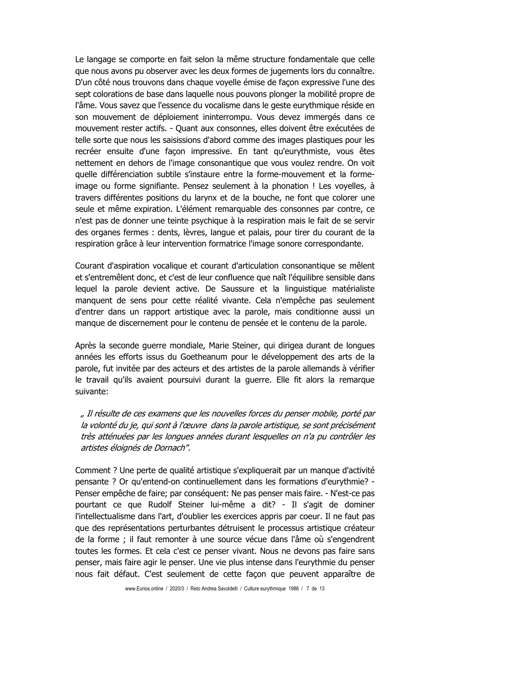Le langage se comporte en fait selon la même structure fondamentale que celle que nous avons pu observer avec les deux formes de jugements lors du connaître. D'un côté nous trouvons dans chaque voyelle émise de facon expressive l'une des sept colorations de base dans laquelle nous pouvons plonger la mobilité propre de l'âme. Vous savez que l'essence du vocalisme dans le geste eurythmique réside en son mouvement de déploiement ininterrompu. Vous devez immergés dans ce mouvement rester actifs. - Quant aux consonnes, elles doivent être exécutées de telle sorte que nous les saisissions d'abord comme des images plastiques pour les recréer ensuite d'une facon impressive. En tant qu'eurythmiste, vous êtes nettement en dehors de l'image consonantique que vous voulez rendre. On voit quelle différenciation subtile s'instaure entre la forme-mouvement et la formeimage ou forme signifiante. Pensez seulement à la phonation ! Les voyelles, à travers différentes positions du larynx et de la bouche, ne font que colorer une seule et même expiration. L'élément remarquable des consonnes par contre, ce n'est pas de donner une teinte psychique à la respiration mais le fait de se servir des organes fermes : dents, lèvres, langue et palais, pour tirer du courant de la respiration grâce à leur intervention formatrice l'image sonore correspondante.

Courant d'aspiration vocalique et courant d'articulation consonantique se mêlent et s'entremêlent donc, et c'est de leur confluence que naît l'équilibre sensible dans lequel la parole devient active. De Saussure et la linguistique matérialiste manquent de sens pour cette réalité vivante. Cela n'empêche pas seulement d'entrer dans un rapport artistique avec la parole, mais conditionne aussi un manque de discernement pour le contenu de pensée et le contenu de la parole.

Après la seconde querre mondiale, Marie Steiner, qui dirigea durant de longues années les efforts issus du Goetheanum pour le développement des arts de la parole, fut invitée par des acteurs et des artistes de la parole allemands à vérifier le travail qu'ils avaient poursuivi durant la guerre. Elle fit alors la remarque suivante:

" Il résulte de ces examens que les nouvelles forces du penser mobile, porté par la volonté du je, qui sont à l'œuvre dans la parole artistique, se sont précisément très atténuées par les longues années durant lesquelles on n'a pu contrôler les artistes éloignés de Dornach".

Comment ? Une perte de qualité artistique s'expliquerait par un manque d'activité pensante ? Or qu'entend-on continuellement dans les formations d'eurythmie? -Penser empêche de faire; par conséquent: Ne pas penser mais faire. - N'est-ce pas pourtant ce que Rudolf Steiner lui-même a dit? - Il s'agit de dominer l'intellectualisme dans l'art, d'oublier les exercices appris par coeur. Il ne faut pas que des représentations perturbantes détruisent le processus artistique créateur de la forme ; il faut remonter à une source vécue dans l'âme où s'engendrent toutes les formes. Et cela c'est ce penser vivant. Nous ne devons pas faire sans penser, mais faire agir le penser. Une vie plus intense dans l'eurythmie du penser nous fait défaut. C'est seulement de cette facon que peuvent apparaître de

www.Eurios.online / 2020/3 / Reto Andrea Savoldelli / Culture eurythmique 1986 / 7 de 13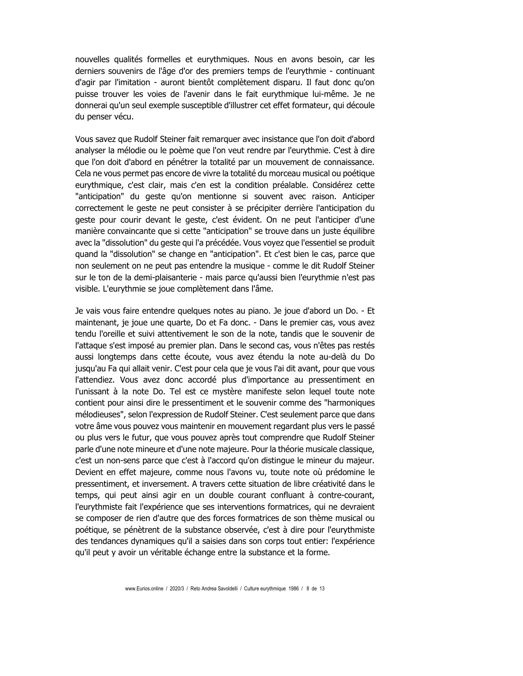nouvelles qualités formelles et eurythmiques. Nous en avons besoin, car les derniers souvenirs de l'âge d'or des premiers temps de l'eurythmie - continuant d'agir par l'imitation - auront bientôt complètement disparu. Il faut donc qu'on puisse trouver les voies de l'avenir dans le fait eurythmique lui-même. Je ne donnerai qu'un seul exemple susceptible d'illustrer cet effet formateur, qui découle du penser vécu.

Vous savez que Rudolf Steiner fait remarquer avec insistance que l'on doit d'abord analyser la mélodie ou le poème que l'on veut rendre par l'eurythmie. C'est à dire que l'on doit d'abord en pénétrer la totalité par un mouvement de connaissance. Cela ne vous permet pas encore de vivre la totalité du morceau musical ou poétique eurythmique, c'est clair, mais c'en est la condition préalable. Considérez cette "anticipation" du geste qu'on mentionne si souvent avec raison. Anticiper correctement le geste ne peut consister à se précipiter derrière l'anticipation du geste pour courir devant le geste, c'est évident. On ne peut l'anticiper d'une manière convaincante que si cette "anticipation" se trouve dans un juste équilibre avec la "dissolution" du geste qui l'a précédée. Vous voyez que l'essentiel se produit quand la "dissolution" se change en "anticipation". Et c'est bien le cas, parce que non seulement on ne peut pas entendre la musique - comme le dit Rudolf Steiner sur le ton de la demi-plaisanterie - mais parce qu'aussi bien l'eurythmie n'est pas visible. L'eurythmie se joue complètement dans l'âme.

Je vais vous faire entendre quelques notes au piano. Je joue d'abord un Do. - Et maintenant, je joue une quarte, Do et Fa donc. - Dans le premier cas, vous avez tendu l'oreille et suivi attentivement le son de la note, tandis que le souvenir de l'attaque s'est imposé au premier plan. Dans le second cas, vous n'êtes pas restés aussi longtemps dans cette écoute, vous avez étendu la note au-delà du Do jusqu'au Fa qui allait venir. C'est pour cela que je vous l'ai dit avant, pour que vous l'attendiez. Vous avez donc accordé plus d'importance au pressentiment en l'unissant à la note Do. Tel est ce mystère manifeste selon lequel toute note contient pour ainsi dire le pressentiment et le souvenir comme des "harmoniques" mélodieuses", selon l'expression de Rudolf Steiner. C'est seulement parce que dans votre âme vous pouvez vous maintenir en mouvement regardant plus vers le passé ou plus vers le futur, que vous pouvez après tout comprendre que Rudolf Steiner parle d'une note mineure et d'une note majeure. Pour la théorie musicale classique, c'est un non-sens parce que c'est à l'accord qu'on distingue le mineur du majeur. Devient en effet majeure, comme nous l'avons vu, toute note où prédomine le pressentiment, et inversement. A travers cette situation de libre créativité dans le temps, qui peut ainsi agir en un double courant confluant à contre-courant, l'eurythmiste fait l'expérience que ses interventions formatrices, qui ne devraient se composer de rien d'autre que des forces formatrices de son thème musical ou poétique, se pénètrent de la substance observée, c'est à dire pour l'eurythmiste des tendances dynamiques qu'il a saisies dans son corps tout entier: l'expérience qu'il peut y avoir un véritable échange entre la substance et la forme.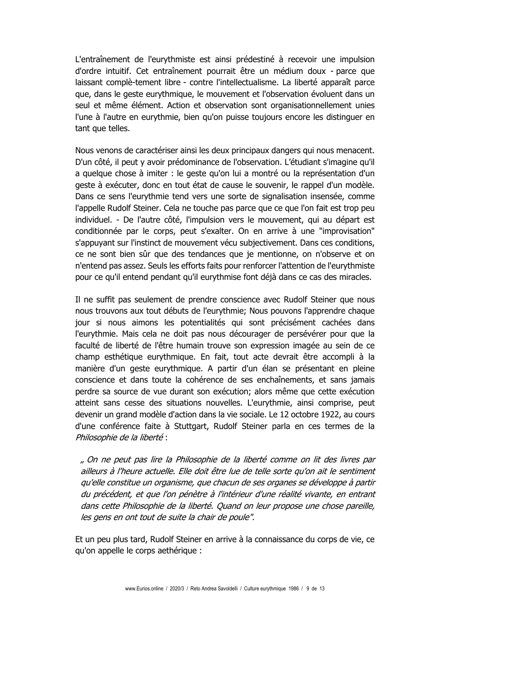L'entraînement de l'eurythmiste est ainsi prédestiné à recevoir une impulsion d'ordre intuitif. Cet entraînement pourrait être un médium doux - parce que laissant complè-tement libre - contre l'intellectualisme. La liberté apparaît parce que, dans le geste eurythmique, le mouvement et l'observation évoluent dans un seul et même élément. Action et observation sont organisationnellement unies l'une à l'autre en eurythmie, bien qu'on puisse toujours encore les distinguer en tant que telles.

Nous venons de caractériser ainsi les deux principaux dangers qui nous menacent. D'un côté, il peut y avoir prédominance de l'observation. L'étudiant s'imagine qu'il a quelque chose à imiter : le geste qu'on lui a montré ou la représentation d'un geste à exécuter, donc en tout état de cause le souvenir, le rappel d'un modèle. Dans ce sens l'eurythmie tend vers une sorte de signalisation insensée, comme l'appelle Rudolf Steiner. Cela ne touche pas parce que ce que l'on fait est trop peu individuel. - De l'autre côté, l'impulsion vers le mouvement, qui au départ est conditionnée par le corps, peut s'exalter. On en arrive à une "improvisation" s'appuyant sur l'instinct de mouvement vécu subjectivement. Dans ces conditions, ce ne sont bien sûr que des tendances que je mentionne, on n'observe et on n'entend pas assez. Seuls les efforts faits pour renforcer l'attention de l'eurythmiste pour ce qu'il entend pendant qu'il eurythmise font déjà dans ce cas des miracles.

Il ne suffit pas seulement de prendre conscience avec Rudolf Steiner que nous nous trouvons aux tout débuts de l'eurythmie; Nous pouvons l'apprendre chaque jour si nous aimons les potentialités qui sont précisément cachées dans l'eurythmie. Mais cela ne doit pas nous décourager de persévérer pour que la faculté de liberté de l'être humain trouve son expression imagée au sein de ce champ esthétique eurythmique. En fait, tout acte devrait être accompli à la manière d'un geste eurythmique. A partir d'un élan se présentant en pleine conscience et dans toute la cohérence de ses enchaînements, et sans jamais perdre sa source de vue durant son exécution; alors même que cette exécution atteint sans cesse des situations nouvelles. L'eurythmie, ainsi comprise, peut devenir un grand modèle d'action dans la vie sociale. Le 12 octobre 1922, au cours d'une conférence faite à Stuttgart, Rudolf Steiner parla en ces termes de la Philosophie de la liberté :

" On ne peut pas lire la Philosophie de la liberté comme on lit des livres par ailleurs à l'heure actuelle. Elle doit être lue de telle sorte qu'on ait le sentiment qu'elle constitue un organisme, que chacun de ses organes se développe à partir du précédent, et que l'on pénètre à l'intérieur d'une réalité vivante, en entrant dans cette Philosophie de la liberté. Quand on leur propose une chose pareille, les gens en ont tout de suite la chair de poule".

Et un peu plus tard, Rudolf Steiner en arrive à la connaissance du corps de vie, ce qu'on appelle le corps aethérique :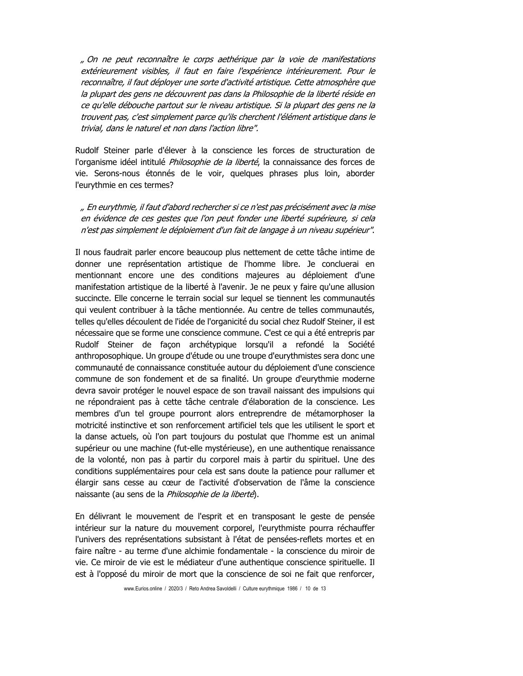"On ne peut reconnaître le corps aethérique par la voie de manifestations extérieurement visibles, il faut en faire l'expérience intérieurement. Pour le reconnaître, il faut déployer une sorte d'activité artistique. Cette atmosphère que la plupart des gens ne découvrent pas dans la Philosophie de la liberté réside en ce qu'elle débouche partout sur le niveau artistique. Si la plupart des gens ne la trouvent pas, c'est simplement parce qu'ils cherchent l'élément artistique dans le trivial, dans le naturel et non dans l'action libre".

Rudolf Steiner parle d'élever à la conscience les forces de structuration de l'organisme idéel intitulé *Philosophie de la liberté*, la connaissance des forces de vie. Serons-nous étonnés de le voir, quelques phrases plus loin, aborder l'eurythmie en ces termes?

"En eurythmie, il faut d'abord rechercher si ce n'est pas précisément avec la mise en évidence de ces gestes que l'on peut fonder une liberté supérieure, si cela n'est pas simplement le déploiement d'un fait de langage à un niveau supérieur".

Il nous faudrait parler encore beaucoup plus nettement de cette tâche intime de donner une représentation artistique de l'homme libre. Je concluerai en mentionnant encore une des conditions majeures au déploiement d'une manifestation artistique de la liberté à l'avenir. Je ne peux y faire qu'une allusion succincte. Elle concerne le terrain social sur lequel se tiennent les communautés qui veulent contribuer à la tâche mentionnée. Au centre de telles communautés, telles qu'elles découlent de l'idée de l'organicité du social chez Rudolf Steiner, il est nécessaire que se forme une conscience commune. C'est ce qui a été entrepris par Rudolf Steiner de façon archétypique lorsqu'il a refondé la Société anthroposophique. Un groupe d'étude ou une troupe d'eurythmistes sera donc une communauté de connaissance constituée autour du déploiement d'une conscience commune de son fondement et de sa finalité. Un groupe d'eurythmie moderne devra savoir protéger le nouvel espace de son travail naissant des impulsions qui ne répondraient pas à cette tâche centrale d'élaboration de la conscience. Les membres d'un tel groupe pourront alors entreprendre de métamorphoser la motricité instinctive et son renforcement artificiel tels que les utilisent le sport et la danse actuels, où l'on part toujours du postulat que l'homme est un animal supérieur ou une machine (fut-elle mystérieuse), en une authentique renaissance de la volonté, non pas à partir du corporel mais à partir du spirituel. Une des conditions supplémentaires pour cela est sans doute la patience pour rallumer et élargir sans cesse au cœur de l'activité d'observation de l'âme la conscience naissante (au sens de la Philosophie de la liberté).

En délivrant le mouvement de l'esprit et en transposant le geste de pensée intérieur sur la nature du mouvement corporel, l'eurythmiste pourra réchauffer l'univers des représentations subsistant à l'état de pensées-reflets mortes et en faire naître - au terme d'une alchimie fondamentale - la conscience du miroir de vie. Ce miroir de vie est le médiateur d'une authentique conscience spirituelle. Il est à l'opposé du miroir de mort que la conscience de soi ne fait que renforcer,

www.Eurios.online / 2020/3 / Reto Andrea Savoldelli / Culture eurythmique 1986 / 10 de 13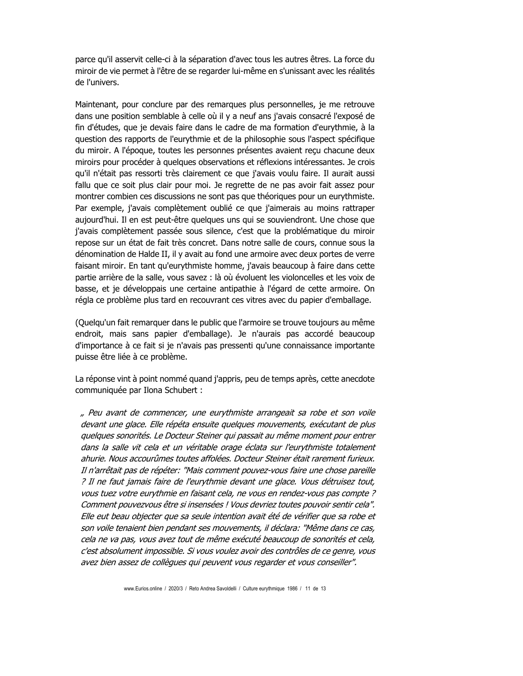parce qu'il asservit celle-ci à la séparation d'avec tous les autres êtres. La force du miroir de vie permet à l'être de se regarder lui-même en s'unissant avec les réalités de l'univers.

Maintenant, pour conclure par des remarques plus personnelles, je me retrouve dans une position semblable à celle où il y a neuf ans j'avais consacré l'exposé de fin d'études, que je devais faire dans le cadre de ma formation d'eurythmie, à la question des rapports de l'eurythmie et de la philosophie sous l'aspect spécifique du miroir. A l'époque, toutes les personnes présentes avaient reçu chacune deux miroirs pour procéder à quelques observations et réflexions intéressantes. Je crois qu'il n'était pas ressorti très clairement ce que j'avais voulu faire. Il aurait aussi fallu que ce soit plus clair pour moi. Je regrette de ne pas avoir fait assez pour montrer combien ces discussions ne sont pas que théoriques pour un eurythmiste. Par exemple, j'avais complètement oublié ce que j'aimerais au moins rattraper aujourd'hui. Il en est peut-être quelques uns qui se souviendront. Une chose que j'avais complètement passée sous silence, c'est que la problématique du miroir repose sur un état de fait très concret. Dans notre salle de cours, connue sous la dénomination de Halde II, il y avait au fond une armoire avec deux portes de verre faisant miroir. En tant qu'eurythmiste homme, j'avais beaucoup à faire dans cette partie arrière de la salle, vous savez : là où évoluent les violoncelles et les voix de basse, et je développais une certaine antipathie à l'égard de cette armoire. On régla ce problème plus tard en recouvrant ces vitres avec du papier d'emballage.

(Quelqu'un fait remarguer dans le public que l'armoire se trouve toujours au même endroit, mais sans papier d'emballage). Je n'aurais pas accordé beaucoup d'importance à ce fait si je n'avais pas pressenti qu'une connaissance importante puisse être liée à ce problème.

La réponse vint à point nommé quand j'appris, peu de temps après, cette anecdote communiquée par Ilona Schubert :

" Peu avant de commencer, une eurythmiste arrangeait sa robe et son voile devant une glace. Elle répéta ensuite quelques mouvements, exécutant de plus quelques sonorités. Le Docteur Steiner qui passait au même moment pour entrer dans la salle vit cela et un véritable orage éclata sur l'eurythmiste totalement ahurie. Nous accourûmes toutes affolées. Docteur Steiner était rarement furieux. Il n'arrêtait pas de répéter: "Mais comment pouvez-vous faire une chose pareille ? Il ne faut jamais faire de l'eurythmie devant une glace. Vous détruisez tout, vous tuez votre eurythmie en faisant cela, ne vous en rendez-vous pas compte ? Comment pouvezvous être si insensées ! Vous devriez toutes pouvoir sentir cela". Elle eut beau objecter que sa seule intention avait été de vérifier que sa robe et son voile tenaient bien pendant ses mouvements, il déclara: "Même dans ce cas, cela ne va pas, vous avez tout de même exécuté beaucoup de sonorités et cela, c'est absolument impossible. Si vous voulez avoir des contrôles de ce genre, vous avez bien assez de collègues qui peuvent vous regarder et vous conseiller".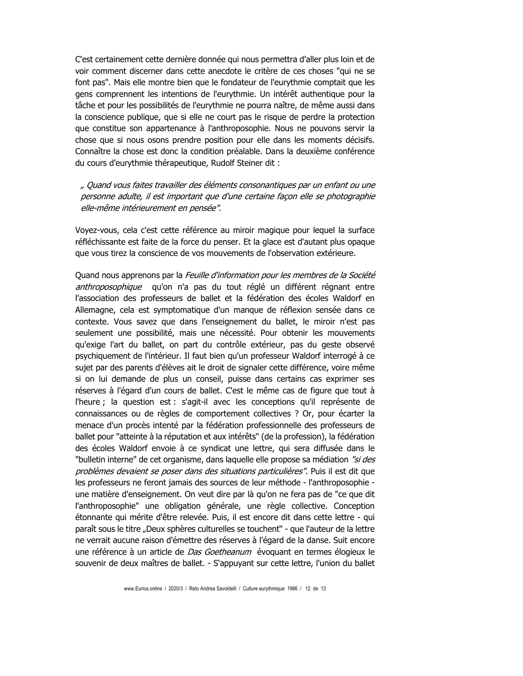C'est certainement cette dernière donnée qui nous permettra d'aller plus loin et de voir comment discerner dans cette anecdote le critère de ces choses "qui ne se font pas". Mais elle montre bien que le fondateur de l'eurythmie comptait que les gens comprennent les intentions de l'eurythmie. Un intérêt authentique pour la tâche et pour les possibilités de l'eurythmie ne pourra naître, de même aussi dans la conscience publique, que si elle ne court pas le risque de perdre la protection que constitue son appartenance à l'anthroposophie. Nous ne pouvons servir la chose que si nous osons prendre position pour elle dans les moments décisifs. Connaître la chose est donc la condition préalable. Dans la deuxième conférence du cours d'eurythmie thérapeutique, Rudolf Steiner dit :

"Quand vous faites travailler des éléments consonantiques par un enfant ou une personne adulte, il est important que d'une certaine façon elle se photographie elle-même intérieurement en pensée".

Voyez-vous, cela c'est cette référence au miroir magique pour lequel la surface réfléchissante est faite de la force du penser. Et la glace est d'autant plus opaque que vous tirez la conscience de vos mouvements de l'observation extérieure.

Quand nous apprenons par la Feuille d'information pour les membres de la Société anthroposophique qu'on n'a pas du tout réglé un différent régnant entre l'association des professeurs de ballet et la fédération des écoles Waldorf en Allemagne, cela est symptomatique d'un manque de réflexion sensée dans ce contexte. Vous savez que dans l'enseignement du ballet, le miroir n'est pas seulement une possibilité, mais une nécessité. Pour obtenir les mouvements qu'exige l'art du ballet, on part du contrôle extérieur, pas du geste observé psychiquement de l'intérieur. Il faut bien qu'un professeur Waldorf interrogé à ce sujet par des parents d'élèves ait le droit de signaler cette différence, voire même si on lui demande de plus un conseil, puisse dans certains cas exprimer ses réserves à l'égard d'un cours de ballet. C'est le même cas de figure que tout à l'heure ; la question est : s'agit-il avec les conceptions qu'il représente de connaissances ou de règles de comportement collectives ? Or, pour écarter la menace d'un procès intenté par la fédération professionnelle des professeurs de ballet pour "atteinte à la réputation et aux intérêts" (de la profession), la fédération des écoles Waldorf envoie à ce syndicat une lettre, qui sera diffusée dans le "bulletin interne" de cet organisme, dans laquelle elle propose sa médiation "si des problèmes devaient se poser dans des situations particulières". Puis il est dit que les professeurs ne feront jamais des sources de leur méthode - l'anthroposophie une matière d'enseignement. On veut dire par là qu'on ne fera pas de "ce que dit l'anthroposophie" une obligation générale, une règle collective. Conception étonnante qui mérite d'être relevée. Puis, il est encore dit dans cette lettre - qui paraît sous le titre "Deux sphères culturelles se touchent" - que l'auteur de la lettre ne verrait aucune raison d'émettre des réserves à l'égard de la danse. Suit encore une référence à un article de *Das Goetheanum* évoquant en termes élogieux le souvenir de deux maîtres de ballet. - S'appuyant sur cette lettre, l'union du ballet